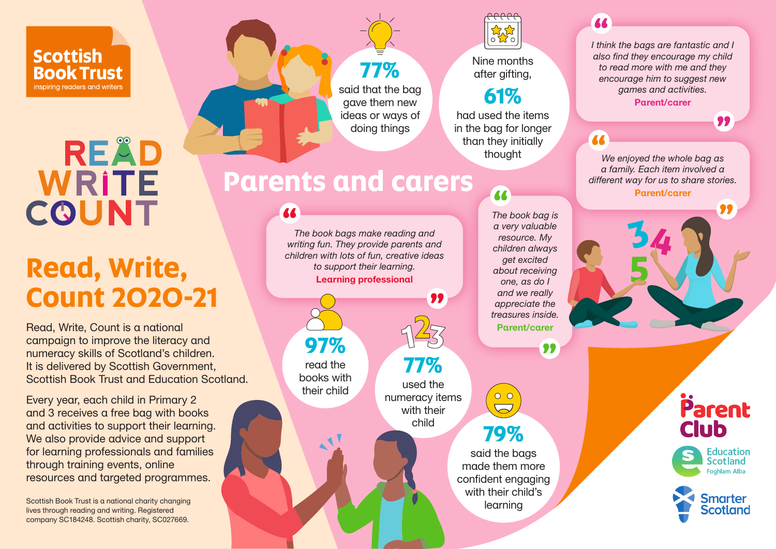#### **Scottish Book Trust** inspiring readers and writers

# READ **WRITE COUNT**

# **Read, Write, Count 2020-21**

Read, Write, Count is a national campaign to improve the literacy and numeracy skills of Scotland's children. It is delivered by Scottish Government, Scottish Book Trust and Education Scotland.

Every year, each child in Primary 2 and 3 receives a free bag with books and activities to support their learning. We also provide advice and support for learning professionals and families through training events, online resources and targeted programmes.

Scottish Book Trust is a national charity changing lives through reading and writing. Registered company SC184248. Scottish charity, SC027669.



*I think the bags are fantastic and I*  **"** *also find they encourage my child to read more with me and they encourage him to suggest new games and activities.* Parent/carer

**"**

Parent

**Education** Scotland Foghlam Alba

**Smarter Scotland** 

**Club** 

### **"**

*We enjoyed the whole bag as a family. Each item involved a different way for us to share stories.* Parent/carer **"**

**34**

**5**